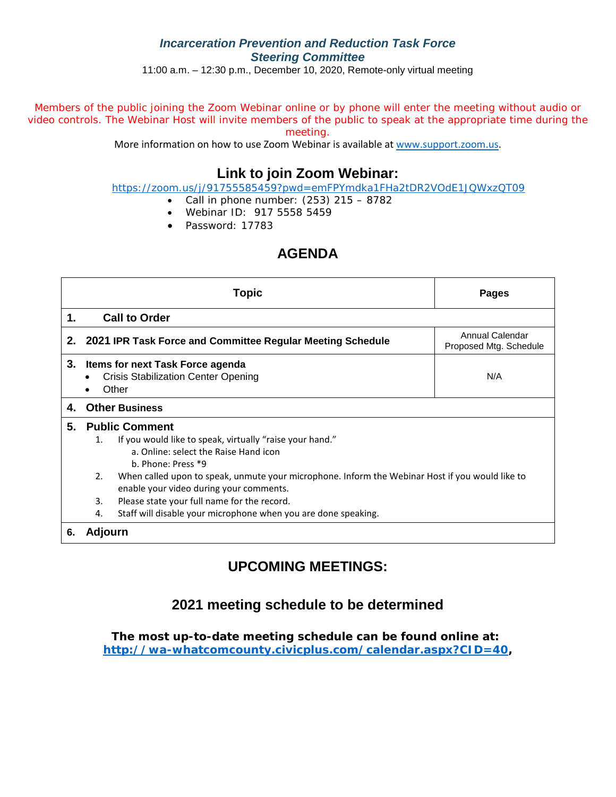### *Incarceration Prevention and Reduction Task Force Steering Committee*

11:00 a.m. – 12:30 p.m., December 10, 2020, Remote-only virtual meeting

Members of the public joining the Zoom Webinar online or by phone will enter the meeting without audio or video controls. The Webinar Host will invite members of the public to speak at the appropriate time during the meeting.

More information on how to use Zoom Webinar is available at [www.support.zoom.us.](https://nam03.safelinks.protection.outlook.com/?url=http%3A%2F%2Fwww.support.zoom.us%2F&data=02%7C01%7CJNixon%40co.whatcom.wa.us%7C6c9a211e0e6a4d542f3208d81d513a80%7C2122bbce9a1d4565931b0c534ef12e43%7C0%7C0%7C637291581999823694&sdata=y40RY9OomuDUwUxGs%2BY5uBqQhSr%2BDDg92g%2BD1NYWfHQ%3D&reserved=0)

## **Link to join Zoom Webinar:**

<https://zoom.us/j/91755585459?pwd=emFPYmdka1FHa2tDR2VOdE1JQWxzQT09>

- Call in phone number:  $(253)$  215 8782
- Webinar ID: 917 5558 5459
- Password: 17783

# **AGENDA**

|    |         | Topic                                                                                                                                      | <b>Pages</b>                              |
|----|---------|--------------------------------------------------------------------------------------------------------------------------------------------|-------------------------------------------|
| 1. |         | <b>Call to Order</b>                                                                                                                       |                                           |
|    |         | 2. 2021 IPR Task Force and Committee Regular Meeting Schedule                                                                              | Annual Calendar<br>Proposed Mtg. Schedule |
| 3. |         | <b>Items for next Task Force agenda</b><br><b>Crisis Stabilization Center Opening</b><br>Other                                             | N/A                                       |
| 4. |         | <b>Other Business</b>                                                                                                                      |                                           |
| 5. |         | <b>Public Comment</b>                                                                                                                      |                                           |
|    | 1.      | If you would like to speak, virtually "raise your hand."<br>a. Online: select the Raise Hand icon<br>b. Phone: Press *9                    |                                           |
|    | 2.      | When called upon to speak, unmute your microphone. Inform the Webinar Host if you would like to<br>enable your video during your comments. |                                           |
|    | 3.      | Please state your full name for the record.                                                                                                |                                           |
|    | 4.      | Staff will disable your microphone when you are done speaking.                                                                             |                                           |
| 6. | Adjourn |                                                                                                                                            |                                           |

# **UPCOMING MEETINGS:**

### **2021 meeting schedule to be determined**

**The most up-to-date meeting schedule can be found online at: [http://wa-whatcomcounty.civicplus.com/calendar.aspx?CID=40,](http://wa-whatcomcounty.civicplus.com/calendar.aspx?CID=40)**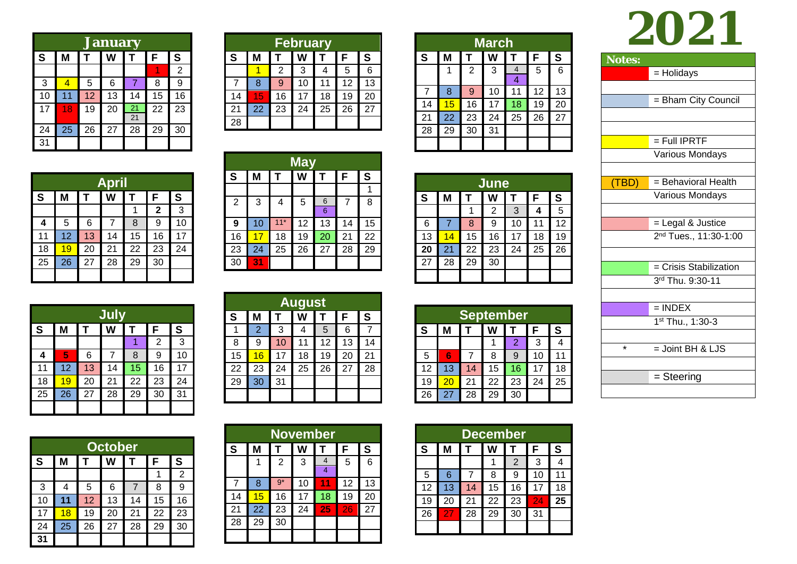|    | <b>January</b> |    |    |    |    |                |  |  |  |  |  |
|----|----------------|----|----|----|----|----------------|--|--|--|--|--|
| S  | Μ              | Т  | W  |    | F  | S              |  |  |  |  |  |
|    |                |    |    |    |    | $\overline{2}$ |  |  |  |  |  |
| 3  | 4              | 5  | 6  | 7  | 8  | 9              |  |  |  |  |  |
| 10 | 11             | 12 | 13 | 14 | 15 | 16             |  |  |  |  |  |
| 17 | 18             | 19 | 20 | 21 | 22 | 23             |  |  |  |  |  |
|    |                |    |    | 21 |    |                |  |  |  |  |  |
| 24 | 25             | 26 | 27 | 28 | 29 | 30             |  |  |  |  |  |
| 31 |                |    |    |    |    |                |  |  |  |  |  |

|    | <b>February</b> |    |    |    |    |    |  |  |  |  |  |
|----|-----------------|----|----|----|----|----|--|--|--|--|--|
| S  | М               |    |    |    | F  | S  |  |  |  |  |  |
|    |                 | 2  | 3  |    | 5  | 6  |  |  |  |  |  |
|    | 8               | 9  | 10 | 11 | 12 | 13 |  |  |  |  |  |
| 14 | 15              | 16 | 17 | 18 | 19 | 20 |  |  |  |  |  |
| 21 | 22              | 23 | 24 | 25 | 26 | 27 |  |  |  |  |  |
| 28 |                 |    |    |    |    |    |  |  |  |  |  |

**May**

5

**9** 10 <sup>11\*</sup> 12 13 14 15<br>16 17 18 19 20 21 22 16 <mark>17 18 19 20 21</mark><br>23 24 25 26 27 28

**W T**

6

6

23 24 25 26 27 28 29

**F**

7

**S** $\overline{1}$ 

8

**T**

4

**S M**

2

30 **31**

3

|    | March |                |    |                     |    |    |  |  |  |  |  |
|----|-------|----------------|----|---------------------|----|----|--|--|--|--|--|
| S  | Μ     |                | W  | т                   | F  | S  |  |  |  |  |  |
|    | 1     | $\overline{2}$ | 3  | $\overline{4}$<br>4 | 5  | 6  |  |  |  |  |  |
| 7  | 8     | 9              | 10 | 11                  | 12 | 13 |  |  |  |  |  |
| 14 | 15    | 16             | 17 | 18                  | 19 | 20 |  |  |  |  |  |
| 21 | 22    | 23             | 24 | 25                  | 26 | 27 |  |  |  |  |  |
| 28 | 29    | 30             | 31 |                     |    |    |  |  |  |  |  |
|    |       |                |    |                     |    |    |  |  |  |  |  |

| June |    |    |    |    |    |    |  |  |  |  |
|------|----|----|----|----|----|----|--|--|--|--|
| S    | Μ  |    | w  |    | F  | S  |  |  |  |  |
|      |    |    | 2  | 3  | 4  | 5  |  |  |  |  |
| 6    |    | 8  | 9  | 10 | 11 | 12 |  |  |  |  |
| 13   | 14 | 15 | 16 | 17 | 18 | 19 |  |  |  |  |
| 20   | 21 | 22 | 23 | 24 | 25 | 26 |  |  |  |  |
| 27   | 28 | 29 | 30 |    |    |    |  |  |  |  |
|      |    |    |    |    |    |    |  |  |  |  |

| <b>September</b> |    |    |    |    |    |    |  |  |  |  |
|------------------|----|----|----|----|----|----|--|--|--|--|
| S                | М  |    | W  |    | F  | S  |  |  |  |  |
|                  |    |    |    | 2  | 3  |    |  |  |  |  |
| 5                | 6  |    | 8  | 9  | 10 | 11 |  |  |  |  |
| 12               | 13 | 14 | 15 | 16 | 17 | 18 |  |  |  |  |
| 19               | 20 | 21 | 22 | 23 | 24 | 25 |  |  |  |  |
| 26               | 27 | 28 | 29 | 30 |    |    |  |  |  |  |

| $\overline{U}$ |                        |  |  |  |  |  |
|----------------|------------------------|--|--|--|--|--|
| Notes:         |                        |  |  |  |  |  |
|                | = Holidays             |  |  |  |  |  |
|                |                        |  |  |  |  |  |
|                | = Bham City Council    |  |  |  |  |  |
|                |                        |  |  |  |  |  |
|                |                        |  |  |  |  |  |
|                | $=$ Full IPRTF         |  |  |  |  |  |
|                | <b>Various Mondays</b> |  |  |  |  |  |
|                |                        |  |  |  |  |  |
| (TBD)          | = Behavioral Health    |  |  |  |  |  |
|                | Various Mondays        |  |  |  |  |  |
|                |                        |  |  |  |  |  |
|                | $=$ Legal & Justice    |  |  |  |  |  |

**2021**

2<sup>nd</sup> Tues., 11:30-1:00

= Crisis Stabilization

3rd Thu. 9:30-11

 $=$  INDEX 1<sup>st</sup> Thu., 1:30-3

 $* =$  Joint BH & LJS

*=* Steering

| 1  | c | c |             |    |     |
|----|---|---|-------------|----|-----|
|    | F | S | $\mathbf S$ | M  |     |
| эr |   |   |             |    | Dec |
|    |   |   |             |    |     |
|    |   |   | 26          | 27 | 28  |
|    |   |   | 19          | 20 | 21  |

|             | <b>December</b> |    |    |                |    |    |  |  |  |  |
|-------------|-----------------|----|----|----------------|----|----|--|--|--|--|
| $\mathbf S$ | Μ               |    | W  |                | F  | S  |  |  |  |  |
|             |                 |    |    | $\overline{2}$ | 3  |    |  |  |  |  |
| 5           | 6               |    | 8  | 9              | 10 | 11 |  |  |  |  |
| 12          | 13              | 14 | 15 | 16             | 17 | 18 |  |  |  |  |
| 19          | 20              | 21 | 22 | 23             | 24 | 25 |  |  |  |  |
| 26          | 27              | 28 | 29 | 30             | 31 |    |  |  |  |  |
|             |                 |    |    |                |    |    |  |  |  |  |

|             | April |    |    |    |              |    |  |  |  |  |  |
|-------------|-------|----|----|----|--------------|----|--|--|--|--|--|
| $\mathbf S$ | M     | т  | W  | т  | F            | S  |  |  |  |  |  |
|             |       |    |    |    | $\mathbf{2}$ | 3  |  |  |  |  |  |
| 4           | 5     | 6  |    | 8  | 9            | 10 |  |  |  |  |  |
| 11          | 12    | 13 | 14 | 15 | 16           | 17 |  |  |  |  |  |
| 18          | 19    | 20 | 21 | 22 | 23           | 24 |  |  |  |  |  |
| 25          | 26    | 27 | 28 | 29 | 30           |    |  |  |  |  |  |
|             |       |    |    |    |              |    |  |  |  |  |  |

| July |    |    |    |    |    |    |  |  |  |
|------|----|----|----|----|----|----|--|--|--|
| S    | Μ  |    | W  |    | F  | S  |  |  |  |
|      |    |    |    |    | 2  | 3  |  |  |  |
| 4    | 5  | 6  | 7  | 8  | 9  | 10 |  |  |  |
| 11   | 12 | 13 | 14 | 15 | 16 | 17 |  |  |  |
| 18   | 19 | 20 | 21 | 22 | 23 | 24 |  |  |  |
| 25   | 26 | 27 | 28 | 29 | 30 | 31 |  |  |  |
|      |    |    |    |    |    |    |  |  |  |

|    | <b>October</b> |    |    |    |    |    |  |  |  |  |  |
|----|----------------|----|----|----|----|----|--|--|--|--|--|
| S  | Μ              | Т  | W  | Т  | F  | S  |  |  |  |  |  |
|    |                |    |    |    |    | 2  |  |  |  |  |  |
| 3  | 4              | 5  | 6  | 7  | 8  | 9  |  |  |  |  |  |
| 10 | 11             | 12 | 13 | 14 | 15 | 16 |  |  |  |  |  |
| 17 | 18             | 19 | 20 | 21 | 22 | 23 |  |  |  |  |  |
| 24 | 25             | 26 | 27 | 28 | 29 | 30 |  |  |  |  |  |
| 31 |                |    |    |    |    |    |  |  |  |  |  |

| <b>August</b> |    |    |    |    |    |    |
|---------------|----|----|----|----|----|----|
| ${\bf S}$     | М  |    | W  | т  | F  | S  |
| 1             | 2  | 3  | 4  | 5  | 6  |    |
| 8             | 9  | 10 | 11 | 12 | 13 | 14 |
| 15            | 16 | 17 | 18 | 19 | 20 | 21 |
| 22            | 23 | 24 | 25 | 26 | 27 | 28 |
| 29            | 30 | 31 |    |    |    |    |
|               |    |    |    |    |    |    |

|                |    |                | <b>November</b> |    |    |    |
|----------------|----|----------------|-----------------|----|----|----|
| S              | M  |                | W               |    | F  | S  |
|                |    | $\overline{2}$ | 3               | 4  | 5  | 6  |
|                |    |                |                 | 4  |    |    |
| $\overline{7}$ | 8  | $9*$           | 10              | 11 | 12 | 13 |
| 14             | 15 | 16             | 17              | 18 | 19 | 20 |
| 21             | 22 | 23             | 24              | 25 | 26 | 27 |
| 28             | 29 | 30             |                 |    |    |    |
|                |    |                |                 |    |    |    |